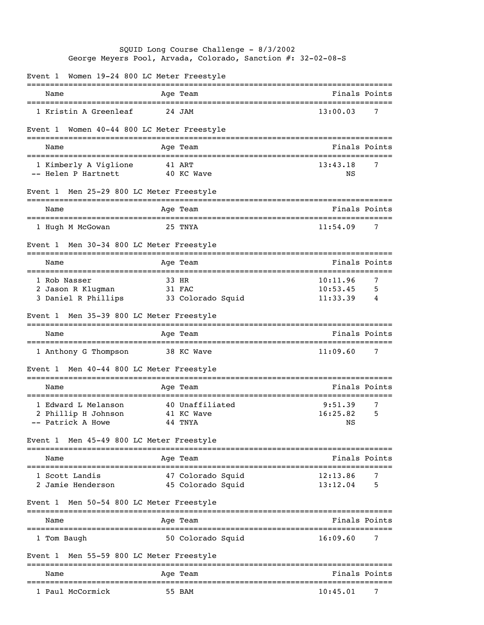|                         |                                                                 | SQUID Long Course Challenge - 8/3/2002<br>George Meyers Pool, Arvada, Colorado, Sanction #: 32-02-08-S |                                     |                                  |               |
|-------------------------|-----------------------------------------------------------------|--------------------------------------------------------------------------------------------------------|-------------------------------------|----------------------------------|---------------|
|                         |                                                                 | Event 1 Women 19-24 800 LC Meter Freestyle                                                             |                                     |                                  |               |
| Name                    |                                                                 | Age Team                                                                                               |                                     | Finals Points                    |               |
|                         | 1 Kristin A Greenleaf                                           | 24 JAM                                                                                                 |                                     | 13:00.03                         | 7             |
| Event 1                 |                                                                 | Women 40-44 800 LC Meter Freestyle                                                                     |                                     |                                  |               |
| Name                    |                                                                 | Age Team                                                                                               |                                     |                                  | Finals Points |
|                         | 1 Kimberly A Viglione 41 ART<br>-- Helen P Hartnett             | 40 KC Wave                                                                                             |                                     | 13:43.18<br>ΝS                   | 7             |
|                         |                                                                 | Event 1 Men 25-29 800 LC Meter Freestyle                                                               |                                     |                                  |               |
| Name                    |                                                                 | Age Team                                                                                               |                                     |                                  | Finals Points |
|                         | 1 Hugh M McGowan                                                | 25 TNYA                                                                                                |                                     | 11:54.09                         | 7             |
|                         |                                                                 | Event 1 Men 30-34 800 LC Meter Freestyle                                                               |                                     |                                  |               |
| Name                    |                                                                 | Age Team                                                                                               |                                     |                                  | Finals Points |
| 1 Rob Nasser<br>Event 1 | 2 Jason R Klugman<br>3 Daniel R Phillips                        | 33 HR<br>31 FAC<br>33 Colorado Squid<br>Men 35-39 800 LC Meter Freestyle                               |                                     | 10:11.96<br>10:53.45<br>11:33.39 | 7<br>5<br>4   |
| Name                    |                                                                 | Age Team                                                                                               |                                     | Finals Points                    |               |
|                         | 1 Anthony G Thompson                                            | 38 KC Wave                                                                                             |                                     | 11:09.60                         | 7             |
|                         |                                                                 | Event 1 Men 40-44 800 LC Meter Freestyle                                                               |                                     |                                  |               |
| Name                    |                                                                 | Age Team                                                                                               |                                     |                                  | Finals Points |
|                         | 1 Edward L Melanson<br>2 Phillip H Johnson<br>-- Patrick A Howe | 40 Unaffiliated<br>41 KC Wave<br>44 TNYA                                                               |                                     | 9:51.39<br>16:25.82<br>NS        | 7<br>5        |
|                         |                                                                 | Event 1 Men 45-49 800 LC Meter Freestyle                                                               |                                     |                                  |               |
| Name                    |                                                                 | Age Team                                                                                               | =================================== |                                  | Finals Points |
|                         | 1 Scott Landis<br>2 Jamie Henderson                             | 47 Colorado Squid<br>45 Colorado Squid                                                                 |                                     | 12:13.86<br>13:12.04             | 7<br>5        |
| Event 1                 |                                                                 | Men 50-54 800 LC Meter Freestyle                                                                       |                                     |                                  |               |
| Name                    |                                                                 | Age Team                                                                                               |                                     |                                  | Finals Points |
| 1 Tom Baugh             |                                                                 | 50 Colorado Squid                                                                                      |                                     | 16:09.60                         | 7             |
|                         |                                                                 | Event 1 Men 55-59 800 LC Meter Freestyle                                                               |                                     |                                  |               |
| Name                    |                                                                 | Age Team                                                                                               |                                     |                                  | Finals Points |
|                         | 1 Paul McCormick                                                | 55 BAM                                                                                                 |                                     | 10:45.01                         | 7             |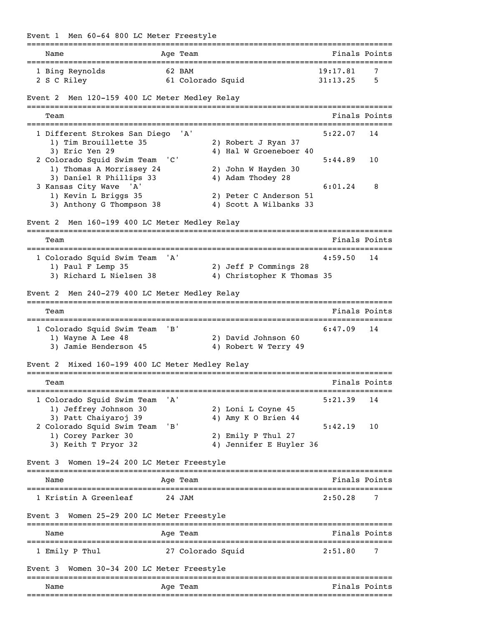Event 1 Men 60-64 800 LC Meter Freestyle =============================================================================== Name **Age Team** Age Team Finals Points =============================================================================== 1 Bing Reynolds 62 BAM 19:17.81 7 2 S C Riley 61 Colorado Squid 31:13.25 5 Event 2 Men 120-159 400 LC Meter Medley Relay =============================================================================== Team Finals Points =============================================================================== 1 Different Strokes San Diego 'A' 5:22.07 14 1) Tim Brouillette 35 2) Robert J Ryan 37 3) Eric Yen 29 4) Hal W Groeneboer 40 2 Colorado Squid Swim Team 'C' 5:44.89 10 1) Thomas A Morrissey 24 2) John W Hayden 30<br>3) Daniel R Phillips 33 4) Adam Thodey 28 3) Daniel R Phillips 33 3 Kansas City Wave 'A' 6:01.24 8 1) Kevin L Briggs 35 2) Peter C Anderson 51 3) Anthony G Thompson 38 4) Scott A Wilbanks 33 Event 2 Men 160-199 400 LC Meter Medley Relay =============================================================================== Team **Finals Points** =============================================================================== 1 Colorado Squid Swim Team 'A' 4:59.50 14 1) Paul F Lemp 35 2) Jeff P Commings 28 3) Richard L Nielsen 38 4) Christopher K Thomas 35 Event 2 Men 240-279 400 LC Meter Medley Relay =============================================================================== Team Finals Points **Team** Finals Points **Properties** =============================================================================== 1 Colorado Squid Swim Team 'B' 6:47.09 14 1) Wayne A Lee 48 2) David Johnson 60 3) Jamie Henderson 45 4) Robert W Terry 49 Event 2 Mixed 160-199 400 LC Meter Medley Relay =============================================================================== Team Finals Points =============================================================================== 1 Colorado Squid Swim Team 'A' 5:21.39 14<br>1) Jeffrey Johnson 30 2) Loni L Coyne 45 1) Jeffrey Johnson 30 3) Patt Chaiyaroj 39 4) Amy K O Brien 44 2 Colorado Squid Swim Team 'B' 5:42.19 10 1) Corey Parker 30 2) Emily P Thul 27 3) Keith T Pryor 32 4) Jennifer E Huyler 36 Event 3 Women 19-24 200 LC Meter Freestyle =============================================================================== Name Age Team Age Age Team Finals Points =============================================================================== 1 Kristin A Greenleaf 24 JAM 2:50.28 Event 3 Women 25-29 200 LC Meter Freestyle =============================================================================== Name **Age Team** Age Team Finals Points =============================================================================== 1 Emily P Thul 27 Colorado Squid Event 3 Women 30-34 200 LC Meter Freestyle ===============================================================================  $F$ inals Points ===============================================================================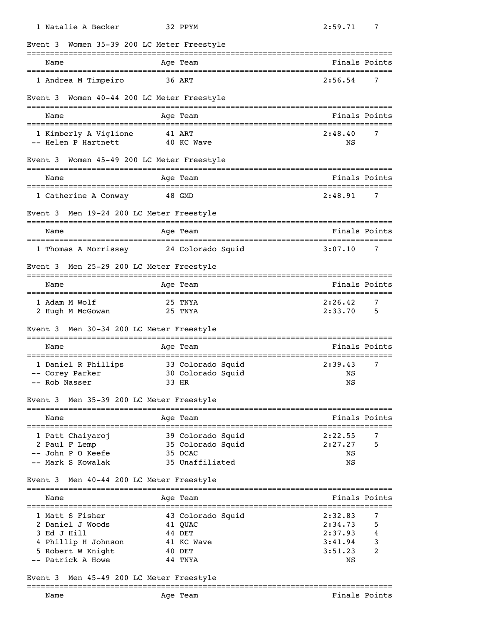| 1 Natalie A Becker                                                                                                      | 32 PPYM                                                                   | 2:59.71<br>7                                                                       |
|-------------------------------------------------------------------------------------------------------------------------|---------------------------------------------------------------------------|------------------------------------------------------------------------------------|
| Event 3 Women 35-39 200 LC Meter Freestyle                                                                              |                                                                           |                                                                                    |
| Name                                                                                                                    | Age Team                                                                  | Finals Points                                                                      |
| 1 Andrea M Timpeiro                                                                                                     | 36 ART                                                                    | 2:56.54<br>7                                                                       |
| Event 3 Women 40-44 200 LC Meter Freestyle                                                                              |                                                                           |                                                                                    |
| Name                                                                                                                    | Age Team                                                                  | Finals Points                                                                      |
| 1 Kimberly A Viglione<br>-- Helen P Hartnett                                                                            | 41 ART<br>40 KC Wave                                                      | 7<br>2:48.40<br>NS                                                                 |
| Event 3 Women 45-49 200 LC Meter Freestyle                                                                              |                                                                           |                                                                                    |
| Name                                                                                                                    | Age Team                                                                  | Finals Points                                                                      |
| 1 Catherine A Conway                                                                                                    | 48 GMD                                                                    | 2:48.91<br>7                                                                       |
| Event 3 Men 19-24 200 LC Meter Freestyle                                                                                |                                                                           |                                                                                    |
| Name                                                                                                                    | Age Team                                                                  | Finals Points                                                                      |
| 1 Thomas A Morrissey                                                                                                    | 24 Colorado Squid                                                         | 3:07.10<br>7                                                                       |
| Event 3                                                                                                                 | Men 25-29 200 LC Meter Freestyle                                          |                                                                                    |
| Name                                                                                                                    | Age Team                                                                  | Finals Points                                                                      |
| 1 Adam M Wolf                                                                                                           | 25 TNYA                                                                   | 2:26.42<br>7                                                                       |
| 2 Hugh M McGowan                                                                                                        | 25 TNYA                                                                   | 2:33.70<br>5                                                                       |
| Event 3 Men 30-34 200 LC Meter Freestyle                                                                                |                                                                           |                                                                                    |
| Name                                                                                                                    | Age Team                                                                  | Finals Points                                                                      |
| 1 Daniel R Phillips<br>-- Rob Nasser                                                                                    | 33 Colorado Squid<br>-- Corey Parker 30 Colorado Squid<br>33 HR           | 7<br>2:39.43<br>NS <sub>NS</sub><br>NS                                             |
| Event 3 Men 35-39 200 LC Meter Freestyle                                                                                |                                                                           |                                                                                    |
| Name                                                                                                                    | Age Team                                                                  | Finals Points                                                                      |
| 1 Patt Chaiyaroj<br>2 Paul F Lemp<br>-- John P O Keefe<br>-- Mark S Kowalak<br>Event 3 Men 40-44 200 LC Meter Freestyle | 39 Colorado Squid<br>35 Colorado Squid<br>35 DCAC<br>35 Unaffiliated      | 2:22.55<br>7<br>2:27.27<br>5<br>NS<br>ΝS                                           |
|                                                                                                                         |                                                                           |                                                                                    |
| Name                                                                                                                    | Age Team                                                                  | Finals Points                                                                      |
| 1 Matt S Fisher<br>2 Daniel J Woods<br>3 Ed J Hill<br>4 Phillip H Johnson<br>5 Robert W Knight<br>-- Patrick A Howe     | 43 Colorado Squid<br>41 QUAC<br>44 DET<br>41 KC Wave<br>40 DET<br>44 TNYA | 2:32.83<br>7<br>2:34.73<br>5<br>2:37.93<br>4<br>3:41.94<br>3<br>3:51.23<br>2<br>NS |
| Event 3 Men 45-49 200 LC Meter Freestyle                                                                                |                                                                           |                                                                                    |
| Name                                                                                                                    | Age Team                                                                  | Finals Points                                                                      |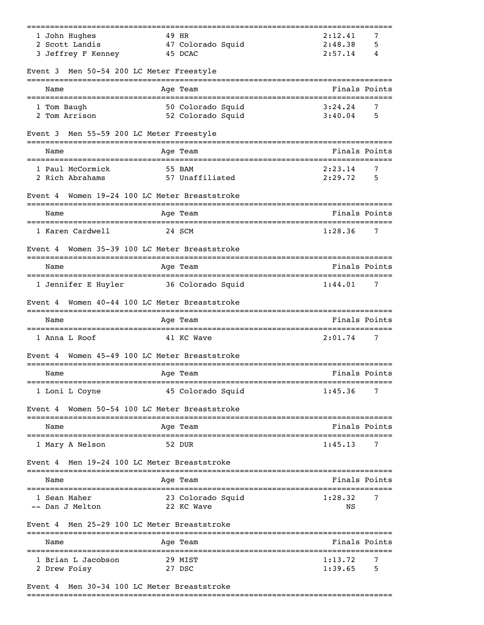|                                                    | ==========                                                                                                                                    |
|----------------------------------------------------|-----------------------------------------------------------------------------------------------------------------------------------------------|
| 49 HR                                              | 2:12.41<br>7                                                                                                                                  |
|                                                    | 2:48.38<br>5<br>2:57.14<br>4                                                                                                                  |
|                                                    |                                                                                                                                               |
|                                                    |                                                                                                                                               |
| Age Team                                           | Finals Points                                                                                                                                 |
| 50 Colorado Squid                                  | 3:24.24<br>7                                                                                                                                  |
|                                                    | 3:40.04<br>5                                                                                                                                  |
| Men 55-59 200 LC Meter Freestyle                   |                                                                                                                                               |
| Age Team                                           | Finals Points                                                                                                                                 |
| 55 BAM                                             | 2:23.14<br>7                                                                                                                                  |
| 57 Unaffiliated                                    | 2:29.72<br>5                                                                                                                                  |
| Women 19-24 100 LC Meter Breaststroke              |                                                                                                                                               |
| Age Team                                           | Finals Points<br>=================================                                                                                            |
| 24 SCM                                             | 1:28.36<br>7                                                                                                                                  |
| Women 35-39 100 LC Meter Breaststroke              |                                                                                                                                               |
| Age Team                                           | Finals Points                                                                                                                                 |
| 36 Colorado Squid                                  | 1:44.01<br>7                                                                                                                                  |
| Women 40-44 100 LC Meter Breaststroke              |                                                                                                                                               |
| Age Team                                           | Finals Points                                                                                                                                 |
| 41 KC Wave                                         | 2:01.74<br>7                                                                                                                                  |
| Women 45-49 100 LC Meter Breaststroke              |                                                                                                                                               |
| Age Team                                           | Finals Points                                                                                                                                 |
| 45 Colorado Squid                                  | 1:45.36<br>7                                                                                                                                  |
| Women 50-54 100 LC Meter Breaststroke              |                                                                                                                                               |
| Age Team                                           | Finals Points                                                                                                                                 |
| 52 DUR                                             | 1:45.13<br>7                                                                                                                                  |
| Men 19-24 100 LC Meter Breaststroke                |                                                                                                                                               |
| Age Team                                           | Finals Points                                                                                                                                 |
| 23 Colorado Squid                                  | 1:28.32<br>7                                                                                                                                  |
| 22 KC Wave                                         | ΝS                                                                                                                                            |
| Men 25-29 100 LC Meter Breaststroke                |                                                                                                                                               |
|                                                    |                                                                                                                                               |
| =======================<br>===========<br>Age Team | Finals Points                                                                                                                                 |
| 29 MIST                                            | 1:13.72<br>7                                                                                                                                  |
|                                                    | 47 Colorado Squid<br>45 DCAC<br>Men 50-54 200 LC Meter Freestyle<br>52 Colorado Squid<br>:===========<br>------------------<br>-------------- |

# Event 4 Men 30-34 100 LC Meter Breaststroke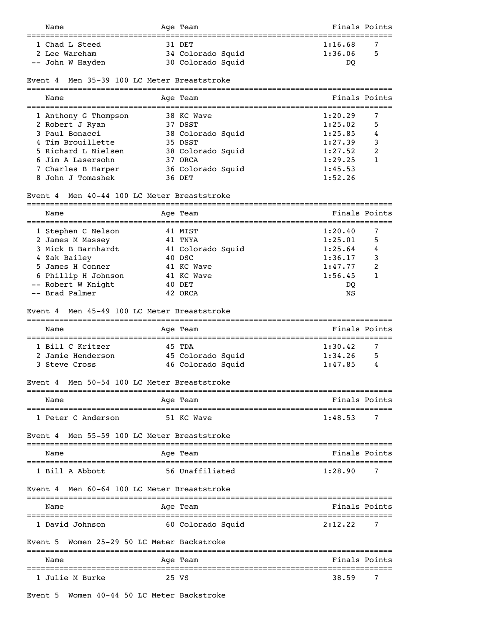| Name                                                        | Age Team          | Finals Points |
|-------------------------------------------------------------|-------------------|---------------|
| 1 Chad L Steed                                              | 31 DET            | 7<br>1:16.68  |
| 2 Lee Wareham                                               | 34 Colorado Squid | 5<br>1:36.06  |
| -- John W Hayden                                            | 30 Colorado Squid | <sub>DO</sub> |
| Mon 35 30 100 IC Motor Broaststroko<br>$Frr \cap + \Lambda$ |                   |               |

#### Event 4 Men 35-39 100 LC Meter Breaststroke

| Name                 | Age Team          | Finals Points |   |
|----------------------|-------------------|---------------|---|
| 1 Anthony G Thompson | 38 KC Wave        | 1:20.29       |   |
| 2 Robert J Ryan      | 37 DSST           | 1:25.02       | 5 |
| 3 Paul Bonacci       | 38 Colorado Squid | 1:25.85       | 4 |
| 4 Tim Brouillette    | 35 DSST           | 1:27.39       | 3 |
| 5 Richard L Nielsen  | 38 Colorado Squid | 1:27.52       | 2 |
| 6 Jim A Lasersohn    | 37 ORCA           | 1:29.25       |   |
| 7 Charles B Harper   | 36 Colorado Squid | 1:45.53       |   |
| 8 John J Tomashek    | 36 DET            | 1:52.26       |   |

#### Event 4 Men 40-44 100 LC Meter Breaststroke

| Name                | Age Team          | Finals Points |   |
|---------------------|-------------------|---------------|---|
| 1 Stephen C Nelson  | 41 MIST           | 1:20.40       |   |
| 2 James M Massey    | 41 TNYA           | 1:25.01       | 5 |
| 3 Mick B Barnhardt  | 41 Colorado Squid | 1:25.64       | 4 |
| 4 Zak Bailey        | 40 DSC            | 1:36.17       | 3 |
| 5 James H Conner    | 41 KC Wave        | 1:47.77       | 2 |
| 6 Phillip H Johnson | 41 KC Wave        | 1:56.45       |   |
| -- Robert W Knight  | 40 DET            | DO            |   |
| -- Brad Palmer      | 42 ORCA           | NS            |   |

### Event 4 Men 45-49 100 LC Meter Breaststroke

| Name              | Age Team          | Finals Points |   |
|-------------------|-------------------|---------------|---|
| 1 Bill C Kritzer  | 45 TDA            | 1:30.42       |   |
| 2 Jamie Henderson | 45 Colorado Squid | 1:34.26       | 5 |
| 3 Steve Cross     | 46 Colorado Squid | 1:47.85       | 4 |

### Event 4 Men 50-54 100 LC Meter Breaststroke

| Name               | Age Team   | Finals Points |
|--------------------|------------|---------------|
|                    |            |               |
| 1 Peter C Anderson | 51 KC Wave | -<br>1:48.53  |

## Event 4 Men 55-59 100 LC Meter Breaststroke

| Name            | Aqe Team        | Finals Points |
|-----------------|-----------------|---------------|
| 1 Bill A Abbott | 56 Unaffiliated | 1:28.90       |

# Event 4 Men 60-64 100 LC Meter Breaststroke

| Name            | Age Team          | Finals Points |
|-----------------|-------------------|---------------|
| 1 David Johnson | 60 Colorado Squid | 2:12.22       |

### Event 5 Women 25-29 50 LC Meter Backstroke

| Name            | Age Team | Finals Points |
|-----------------|----------|---------------|
| 1 Julie M Burke | 25 VS    | 7<br>38.59    |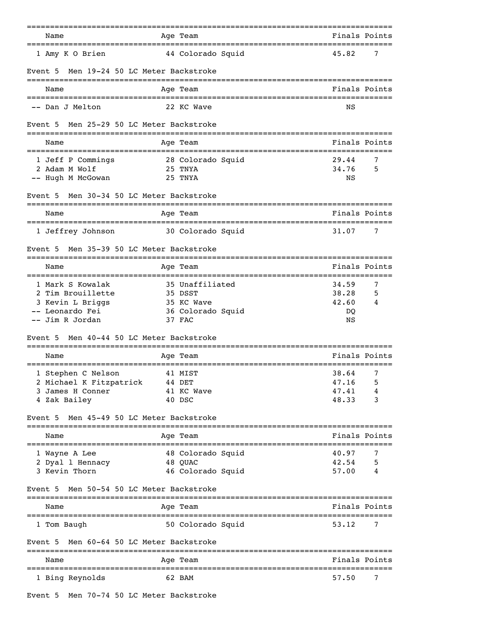|                                             | ---------                | =============================               |
|---------------------------------------------|--------------------------|---------------------------------------------|
| Name                                        | Age Team                 | Finals Points                               |
| =======================<br>1 Amy K O Brien  | 44 Colorado Squid        | =============================<br>45.82<br>7 |
| Men 19-24 50 LC Meter Backstroke<br>Event 5 |                          |                                             |
| Name                                        | Age Team                 | Finals Points                               |
| -- Dan J Melton                             | 22 KC Wave               | ΝS                                          |
| Men 25-29 50 LC Meter Backstroke<br>Event 5 |                          |                                             |
| Name                                        | Age Team                 | Finals Points                               |
| 1 Jeff P Commings                           | 28 Colorado Squid        | 29.44<br>7                                  |
| 2 Adam M Wolf                               | 25 TNYA                  | 34.76<br>5                                  |
| -- Hugh M McGowan                           | 25 TNYA                  | ΝS                                          |
| Men 30-34 50 LC Meter Backstroke<br>Event 5 |                          |                                             |
| Name                                        | Age Team                 | Finals Points<br>-----------------          |
| 1 Jeffrey Johnson                           | 30 Colorado Squid        | 7<br>31.07                                  |
| Men 35-39 50 LC Meter Backstroke<br>Event 5 |                          |                                             |
| Name                                        | Age Team                 | Finals Points                               |
| 1 Mark S Kowalak                            | 35 Unaffiliated          | 34.59<br>7                                  |
| 2 Tim Brouillette                           | 35 DSST                  | 38.28<br>5                                  |
| 3 Kevin L Briggs                            | 35 KC Wave               | 42.60<br>4                                  |
| -- Leonardo Fei                             | 36 Colorado Squid        | DQ                                          |
| -- Jim R Jordan                             | 37 FAC                   | ΝS                                          |
| Men 40-44 50 LC Meter Backstroke<br>Event 5 | -------------            |                                             |
| Name                                        | Age Team                 | Finals Points                               |
| 1 Stephen C Nelson                          | 41 MIST                  | 7<br>38.64                                  |
| 2 Michael K Fitzpatrick                     | 44 DET                   | 47.16<br>5                                  |
| 3 James H Conner                            | 41 KC Wave               | 47.41                                       |
| 4 Zak Bailey                                | 40 DSC                   | 48.33<br>3                                  |
| Men 45-49 50 LC Meter Backstroke<br>Event 5 |                          |                                             |
| Name                                        | Age Team                 | Finals Points                               |
| 1 Wayne A Lee                               | 48 Colorado Squid        | 7<br>40.97                                  |
| 2 Dyal 1 Hennacy                            | 48 QUAC                  | 42.54<br>5                                  |
| 3 Kevin Thorn                               | 46 Colorado Squid        | 57.00<br>4                                  |
| Men 50-54 50 LC Meter Backstroke<br>Event 5 |                          |                                             |
| Name                                        | Age Team                 | Finals Points                               |
| 1 Tom Baugh                                 | 50 Colorado Squid        | 53.12<br>7                                  |
| Men 60-64 50 LC Meter Backstroke<br>Event 5 | ======================== |                                             |
| Name                                        | Age Team<br>========     | Finals Points                               |
| 1 Bing Reynolds                             | 62 BAM                   | 57.50<br>7                                  |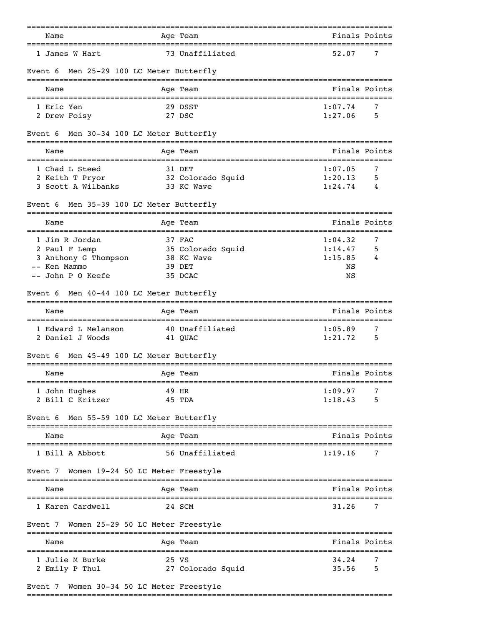| Name<br>====================================== |                        | Age Team                                      |               | Finals Points |
|------------------------------------------------|------------------------|-----------------------------------------------|---------------|---------------|
| 1 James W Hart                                 |                        | 73 Unaffiliated                               | 52.07         | 7             |
| Men 25-29 100 LC Meter Butterfly<br>Event 6    |                        |                                               |               |               |
| Name                                           |                        | Age Team                                      |               | Finals Points |
| 1 Eric Yen                                     |                        | 29 DSST                                       | 1:07.74       | 7             |
| 2 Drew Foisy                                   |                        | 27 DSC                                        | 1:27.06       | 5             |
| Men 30-34 100 LC Meter Butterfly<br>Event 6    |                        |                                               |               |               |
| Name                                           |                        | Age Team                                      | Finals Points |               |
| 1 Chad L Steed                                 |                        | 31 DET                                        | 1:07.05       | 7             |
| 2 Keith T Pryor                                |                        | 32 Colorado Squid                             | 1:20.13       | 5             |
| 3 Scott A Wilbanks                             |                        | 33 KC Wave                                    | 1:24.74       | 4             |
| Men 35-39 100 LC Meter Butterfly<br>Event 6    |                        |                                               |               |               |
| Name                                           |                        | Age Team                                      | Finals Points |               |
| 1 Jim R Jordan                                 |                        | 37 FAC                                        | 1:04.32       | 7             |
| 2 Paul F Lemp                                  |                        | 35 Colorado Squid                             | 1:14.47       | 5             |
| 3 Anthony G Thompson                           |                        | 38 KC Wave                                    | 1:15.85       | 4             |
| -- Ken Mammo                                   |                        | 39 DET                                        | ΝS            |               |
| -- John P O Keefe                              |                        | 35 DCAC                                       | ΝS            |               |
| Men 40-44 100 LC Meter Butterfly<br>Event 6    |                        |                                               |               |               |
| Name<br>====================================   |                        | Aqe Team<br>--------------------------------- |               | Finals Points |
| 1 Edward L Melanson                            |                        | 40 Unaffiliated                               | 1:05.89       | 7             |
| 2 Daniel J Woods                               |                        | 41 QUAC                                       | 1:21.72       | 5             |
| Men 45-49 100 LC Meter Butterfly<br>Event 6    |                        | --------                                      |               |               |
| Name                                           |                        | Age Team                                      |               | Finals Points |
| 1 John Hughes                                  | 49 HR                  |                                               | 1:09.97       | 7             |
| 2 Bill C Kritzer                               |                        | 45 TDA                                        | 1:18.43       | 5             |
| Men 55-59 100 LC Meter Butterfly<br>Event 6    |                        |                                               |               |               |
| Name                                           |                        | Aqe Team                                      |               | Finals Points |
| 1 Bill A Abbott                                |                        | 56 Unaffiliated                               | 1:19.16       | 7             |
| Women 19-24 50 LC Meter Freestyle<br>Event 7   |                        |                                               |               |               |
| Name                                           |                        | Age Team                                      |               | Finals Points |
| 1 Karen Cardwell                               |                        | 24 SCM                                        | 31.26         | 7             |
| Event 7 Women 25-29 50 LC Meter Freestyle      |                        |                                               |               |               |
| Name                                           | --------               | Age Team                                      |               | Finals Points |
| 1 Julie M Burke                                | =============<br>25 VS |                                               | 34.24         | 7             |
| 2 Emily P Thul                                 |                        | 27 Colorado Squid                             | 35.56         | 5             |
|                                                |                        |                                               |               |               |
| Event 7 Women 30-34 50 LC Meter Freestyle      |                        |                                               |               |               |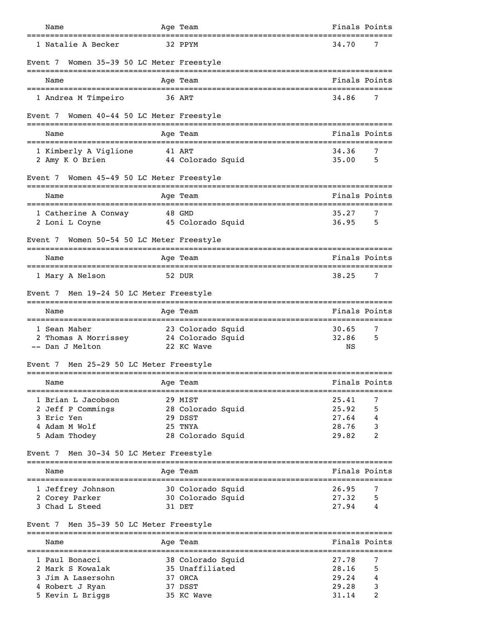| Name                                                      |                     | Age Team                                       | Finals Points            |
|-----------------------------------------------------------|---------------------|------------------------------------------------|--------------------------|
| 1 Natalie A Becker                                        |                     | 32 PPYM                                        | 34.70<br>7               |
| Women 35-39 50 LC Meter Freestyle<br>Event 7              |                     |                                                |                          |
| Name                                                      |                     | Age Team                                       | Finals Points            |
| 1 Andrea M Timpeiro                                       | 36 ART              |                                                | 34.86<br>7               |
| Women 40-44 50 LC Meter Freestyle<br>Event 7              |                     |                                                |                          |
| Name                                                      |                     | Age Team                                       | Finals Points            |
| 1 Kimberly A Viglione<br>2 Amy K O Brien                  |                     | 41 ART<br>44 Colorado Squid                    | 34.36<br>7<br>35.00<br>5 |
| Women 45-49 50 LC Meter Freestyle<br>Event 7              |                     |                                                |                          |
| Name                                                      | __________          | Age Team                                       | Finals Points            |
| 1 Catherine A Conway<br>2 Loni L Coyne                    |                     | 48 GMD<br>45 Colorado Squid                    | 35.27<br>7<br>36.95<br>5 |
| Women 50-54 50 LC Meter Freestyle<br>Event 7              |                     |                                                |                          |
| Name                                                      |                     | Age Team                                       | Finals Points            |
| 1 Mary A Nelson                                           |                     | 52 DUR                                         | 38.25<br>7               |
| Event 7 Men 19-24 50 LC Meter Freestyle                   |                     |                                                |                          |
| Name<br>===============================                   |                     | Age Team<br>================================== | Finals Points            |
| 1 Sean Maher                                              |                     | 23 Colorado Squid                              | 30.65<br>7               |
| 2 Thomas A Morrissey 24 Colorado Squid<br>-- Dan J Melton |                     | 22 KC Wave                                     | 32.86<br>5<br>NS         |
| Men 25-29 50 LC Meter Freestyle<br>Event 7                |                     |                                                |                          |
| Name                                                      |                     | Age Team                                       | Finals Points            |
| 1 Brian L Jacobson                                        |                     | 29 MIST                                        | 25.41<br>7               |
| 2 Jeff P Commings<br>3 Eric Yen                           |                     | 28 Colorado Squid<br>29 DSST                   | 25.92<br>5<br>27.64<br>4 |
| 4 Adam M Wolf                                             |                     | 25 TNYA                                        | 3<br>28.76               |
| 5 Adam Thodey                                             |                     | 28 Colorado Squid                              | 2<br>29.82               |
| Event 7 Men 30-34 50 LC Meter Freestyle                   |                     |                                                |                          |
| Name                                                      |                     | Age Team                                       | Finals Points            |
| 1 Jeffrey Johnson                                         |                     | 30 Colorado Squid                              | 26.95<br>7               |
| 2 Corey Parker                                            |                     | 30 Colorado Squid                              | 27.32<br>5               |
| 3 Chad L Steed                                            |                     | 31 DET                                         | 27.94<br>4               |
| Event 7 Men 35-39 50 LC Meter Freestyle                   | ------------------- |                                                |                          |
| Name<br>:========================                         |                     | Age Team                                       | Finals Points            |
| 1 Paul Bonacci                                            |                     | 38 Colorado Squid                              | 27.78<br>7               |
| 2 Mark S Kowalak                                          |                     | 35 Unaffiliated                                | 5<br>28.16               |
| 3 Jim A Lasersohn                                         |                     | 37 ORCA<br>37 DSST                             | 29.24<br>4<br>3<br>29.28 |
| 4 Robert J Ryan<br>5 Kevin L Briggs                       |                     | 35 KC Wave                                     | 2<br>31.14               |
|                                                           |                     |                                                |                          |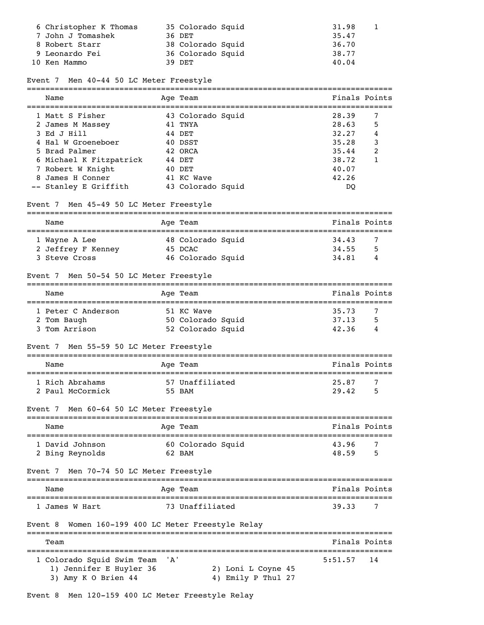| 6 Christopher K Thomas | 35 Colorado Squid | 31.98 |  |
|------------------------|-------------------|-------|--|
| 7 John J Tomashek      | 36 DET            | 35.47 |  |
| 8 Robert Starr         | 38 Colorado Squid | 36.70 |  |
| 9 Leonardo Fei         | 36 Colorado Squid | 38.77 |  |
| 10 Ken Mammo           | 39 DET            | 40.04 |  |

### Event 7 Men 40-44 50 LC Meter Freestyle

| Name                    | Age Team          | Finals Points |   |
|-------------------------|-------------------|---------------|---|
| 1 Matt S Fisher         | 43 Colorado Squid | 28.39         | 7 |
| 2 James M Massey        | 41 TNYA           | 28.63         | 5 |
| 3 Ed J Hill             | 44 DET            | 32.27         | 4 |
| 4 Hal W Groeneboer      | 40 DSST           | 35.28         | 3 |
| 5 Brad Palmer           | 42 ORCA           | 35.44         | 2 |
| 6 Michael K Fitzpatrick | 44 DET            | 38.72         | 1 |
| 7 Robert W Knight       | 40 DET            | 40.07         |   |
| 8 James H Conner        | 41 KC Wave        | 42.26         |   |
| -- Stanley E Griffith   | 43 Colorado Squid | DO            |   |

### Event 7 Men 45-49 50 LC Meter Freestyle

| Name               | Age Team          | Finals Points |   |
|--------------------|-------------------|---------------|---|
|                    |                   |               |   |
| 1 Wayne A Lee      | 48 Colorado Squid | 34.43         |   |
| 2 Jeffrey F Kenney | 45 DCAC           | 34.55         | 5 |
| 3 Steve Cross      | 46 Colorado Squid | 34.81         | 4 |

### Event 7 Men 50-54 50 LC Meter Freestyle

| Name               | Age Team          | Finals Points |   |
|--------------------|-------------------|---------------|---|
| 1 Peter C Anderson | 51 KC Wave        | 35.73         |   |
| 2 Tom Baugh        | 50 Colorado Squid | 37.13         | 5 |
| 3 Tom Arrison      | 52 Colorado Squid | 42.36         | 4 |

### Event 7 Men 55-59 50 LC Meter Freestyle

| Name             | Age Team        | Finals Points |
|------------------|-----------------|---------------|
| 1 Rich Abrahams  | 57 Unaffiliated | 25.87         |
| 2 Paul McCormick | 55 BAM          | 5<br>29.42    |

### Event 7 Men 60-64 50 LC Meter Freestyle

| Name            | Age Team          | Finals Points |
|-----------------|-------------------|---------------|
| 1 David Johnson | 60 Colorado Squid | 43.96         |
| 2 Bing Reynolds | 62 BAM            | 5<br>48.59    |

### Event 7 Men 70-74 50 LC Meter Freestyle

| Name           | Age Team        | Finals Points |
|----------------|-----------------|---------------|
| 1 James W Hart | 73 Unaffiliated | 39.33         |

#### Event 8 Women 160-199 400 LC Meter Freestyle Relay ===============================================================================

| Team                                                                             |                                          | Finals Points |  |
|----------------------------------------------------------------------------------|------------------------------------------|---------------|--|
| 1 Colorado Squid Swim Team 'A'<br>1) Jennifer E Huyler 36<br>3) Amy K O Brien 44 | 2) Loni L Coyne 45<br>4) Emily P Thul 27 | $5:51.57$ 14  |  |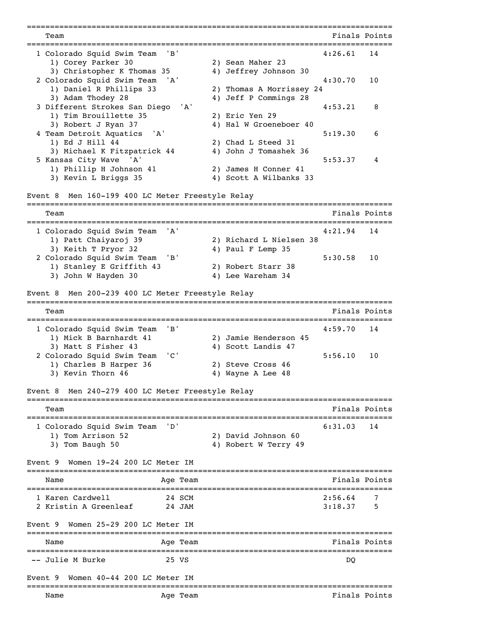=============================================================================== Team Finals Points =============================================================================== 1 Colorado Squid Swim Team 'B' 1) Corey Parker 30 2) Sean Maher 23 3) Christopher K Thomas 35 4) Jeffrey Johnson 30 2 Colorado Squid Swim Team 'A' 4:30.70 10 1) Daniel R Phillips 33 2) Thomas A Morrissey 24 3) Adam Thodey 28 4) Jeff P Commings 28 3 Different Strokes San Diego 'A' 4:53.21 8 1) Tim Brouillette 35 2) Eric Yen 29 3) Robert J Ryan 37 4) Hal W Groeneboer 40 4 Team Detroit Aquatics 'A' 5:19.30 6 1) Ed J Hill 44 2) Chad L Steed 31 3) Michael K Fitzpatrick 44 4) John J Tomashek 36 5 Kansas City Wave 'A' 5:53.37 4<br>1) Phillip H Johnson 41 2) James H Conner 41 1) Phillip H Johnson 41 3) Kevin L Briggs 35 4) Scott A Wilbanks 33 Event 8 Men 160-199 400 LC Meter Freestyle Relay =============================================================================== Team Finals Points =============================================================================== 1 Colorado Squid Swim Team 'A' 4:21.94 14 1) Patt Chaiyaroj 39 2) Richard L Nielsen 38 3) Keith T Pryor 32 4) Paul F Lemp 35 2 Colorado Squid Swim Team 'B' 5:30.58 10 1) Stanley E Griffith 43 3) John W Hayden 30 4) Lee Wareham 34 Event 8 Men 200-239 400 LC Meter Freestyle Relay =============================================================================== Team Finals Points =============================================================================== 1 Colorado Squid Swim Team 'B' 4:59.70 14 1) Mick B Barnhardt 41 2) Jamie Henderson 45 3) Matt S Fisher 43 4) Scott Landis 47 2 Colorado Squid Swim Team 'C' 5:56.10 10 1) Charles B Harper 36 2) Steve Cross 46 3) Kevin Thorn 46 4) Wayne A Lee 48 Event 8 Men 240-279 400 LC Meter Freestyle Relay =============================================================================== Team Finals Points =============================================================================== 1 Colorado Squid Swim Team 'D' 6:31.03 14 1) Tom Arrison 52 2) David Johnson 60 3) Tom Baugh 50 4) Robert W Terry 49 Event 9 Women 19-24 200 LC Meter IM =============================================================================== Name Age Team Age Age Team Finals Points =============================================================================== 1 Karen Cardwell 24 SCM 2:56.64 7 2 Kristin A Greenleaf 24 JAM 3:18.37 5 Event 9 Women 25-29 200 LC Meter IM =============================================================================== Name Age Team Age Age Team Finals Points =============================================================================== -- Julie M Burke 25 VS DQ Event 9 Women 40-44 200 LC Meter IM =============================================================================== Name and Age Team and Age Team and Age Team and Age Team and Age of the Manual Solid Research of Times and Points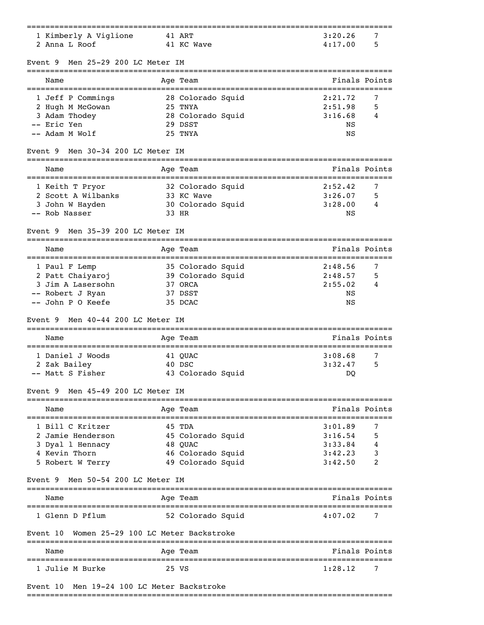| 1 Kimberly A Viglione                                                      | 41 ART                                               | 3:20.26<br>7                 |
|----------------------------------------------------------------------------|------------------------------------------------------|------------------------------|
| 2 Anna L Roof                                                              | 41 KC Wave                                           | 4:17.00<br>5                 |
| Men 25-29 200 LC Meter IM<br>Event 9<br>__________________________________ |                                                      |                              |
| Name                                                                       | Age Team                                             | Finals Points                |
| 1 Jeff P Commings                                                          | 28 Colorado Squid                                    | 2:21.72<br>7                 |
| 2 Hugh M McGowan                                                           | 25 TNYA                                              | 2:51.98<br>5                 |
| 3 Adam Thodey                                                              | 28 Colorado Squid                                    | 3:16.68<br>4                 |
| -- Eric Yen<br>-- Adam M Wolf                                              | 29 DSST<br>25 TNYA                                   | ΝS                           |
| Men 30-34 200 LC Meter IM<br>Event 9                                       |                                                      | ΝS                           |
|                                                                            |                                                      |                              |
| Name                                                                       | Age Team                                             | Finals Points                |
| 1 Keith T Pryor                                                            | 32 Colorado Squid                                    | 2:52.42<br>7                 |
| 2 Scott A Wilbanks                                                         | 33 KC Wave                                           | 3:26.07<br>5                 |
| 3 John W Hayden<br>-- Rob Nasser                                           | 30 Colorado Squid<br>33 HR                           | 3:28.00<br>4<br>NS           |
| Men 35-39 200 LC Meter IM<br>Event 9                                       |                                                      |                              |
| Name                                                                       | Age Team                                             | Finals Points                |
|                                                                            |                                                      |                              |
| 1 Paul F Lemp<br>2 Patt Chaiyaroj                                          | 35 Colorado Squid<br>39 Colorado Squid               | 2:48.56<br>7<br>2:48.57<br>5 |
| 3 Jim A Lasersohn                                                          | 37 ORCA                                              | 2:55.02<br>4                 |
| -- Robert J Ryan                                                           | 37 DSST                                              | ΝS                           |
| -- John P O Keefe                                                          | 35 DCAC                                              | ΝS                           |
| Men 40-44 200 LC Meter IM<br>Event 9                                       |                                                      |                              |
| Name                                                                       | Age Team                                             | Finals Points                |
| 1 Daniel J Woods                                                           | 41 QUAC                                              | 3:08.68<br>7                 |
| 2 Zak Bailey                                                               | 40 DSC                                               | 3:32.47<br>5                 |
| -- Matt S Fisher                                                           | 43 Colorado Squid                                    | DO                           |
| Event 9 Men 45-49 200 LC Meter IM                                          | -------------                                        |                              |
| Name                                                                       | Age Team<br>---------                                | Finals Points                |
| 1 Bill C Kritzer                                                           | 45 TDA                                               | 3:01.89<br>7                 |
| 2 Jamie Henderson                                                          | 45 Colorado Squid                                    | 5<br>3:16.54                 |
| 3 Dyal 1 Hennacy                                                           | 48 OUAC                                              | 4<br>3:33.84                 |
| 4 Kevin Thorn<br>5 Robert W Terry                                          | 46 Colorado Squid<br>49 Colorado Squid               | 3:42.23<br>3<br>3:42.50<br>2 |
|                                                                            |                                                      |                              |
| Men 50-54 200 LC Meter IM<br>Event 9                                       |                                                      |                              |
| Name                                                                       | Age Team                                             | Finals Points                |
| 1 Glenn D Pflum                                                            | 52 Colorado Squid                                    | 4:07.02<br>7                 |
| Event 10                                                                   | Women 25-29 100 LC Meter Backstroke<br>------------- |                              |
| Name                                                                       | --------------<br>Age Team                           | Finals Points                |
| 1 Julie M Burke                                                            | 25 VS                                                | 1:28.12<br>7                 |
| Event 10                                                                   | Men 19-24 100 LC Meter Backstroke                    |                              |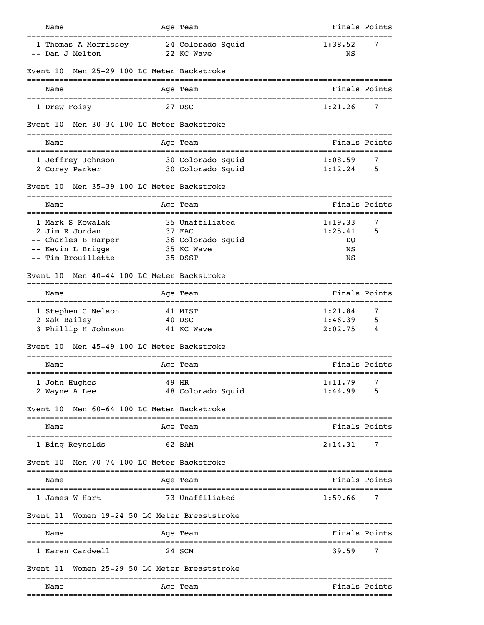| Name                                                                                                 |             | Age Team                                                                | Finals Points                        |             |
|------------------------------------------------------------------------------------------------------|-------------|-------------------------------------------------------------------------|--------------------------------------|-------------|
| 1 Thomas A Morrissey<br>-- Dan J Melton                                                              |             | 24 Colorado Squid<br>22 KC Wave                                         | 1:38.52<br>ΝS                        | 7           |
| Men 25-29 100 LC Meter Backstroke<br>Event 10                                                        |             |                                                                         |                                      |             |
| Name                                                                                                 |             | Age Team                                                                | Finals Points                        |             |
| 1 Drew Foisy                                                                                         |             | 27 DSC                                                                  | 1:21.26                              | 7           |
| Men 30-34 100 LC Meter Backstroke<br>Event 10                                                        |             |                                                                         |                                      |             |
| Name                                                                                                 |             | Age Team                                                                | Finals Points                        |             |
| 1 Jeffrey Johnson<br>2 Corey Parker                                                                  |             | 30 Colorado Squid<br>30 Colorado Squid                                  | 1:08.59<br>1:12.24                   | 7<br>5      |
| Men 35-39 100 LC Meter Backstroke<br>Event 10                                                        |             |                                                                         |                                      |             |
| Name                                                                                                 |             | Age Team                                                                | Finals Points                        |             |
| 1 Mark S Kowalak<br>2 Jim R Jordan<br>-- Charles B Harper<br>-- Kevin L Briggs<br>-- Tim Brouillette |             | 35 Unaffiliated<br>37 FAC<br>36 Colorado Squid<br>35 KC Wave<br>35 DSST | 1:19.33<br>1:25.41<br>DQ<br>ΝS<br>ΝS | 7<br>5      |
| Men 40-44 100 LC Meter Backstroke<br>Event 10                                                        |             |                                                                         |                                      |             |
| Name                                                                                                 |             | Age Team                                                                | Finals Points                        |             |
| 1 Stephen C Nelson<br>2 Zak Bailey<br>3 Phillip H Johnson<br>Men 45-49 100 LC Meter Backstroke       |             | 41 MIST<br>40 DSC<br>41 KC Wave                                         | 1:21.84<br>1:46.39<br>2:02.75        | 7<br>5<br>4 |
| Event 10                                                                                             | ----------- |                                                                         |                                      |             |
| Name<br>1 John Hughes<br>2 Wayne A Lee                                                               |             | Age Team<br>49 HR<br>48 Colorado Squid                                  | Finals Points<br>1:11.79<br>1:44.99  | 7<br>5      |
| Men 60-64 100 LC Meter Backstroke<br>Event 10                                                        |             |                                                                         |                                      |             |
| Name                                                                                                 |             | Age Team                                                                | Finals Points                        |             |
| 1 Bing Reynolds                                                                                      |             | 62 BAM                                                                  | 2:14.31                              | 7           |
| Men 70-74 100 LC Meter Backstroke<br>Event 10                                                        |             |                                                                         |                                      |             |
| Name                                                                                                 |             | Age Team                                                                | Finals Points                        |             |
| 1 James W Hart                                                                                       |             | 73 Unaffiliated                                                         | 1:59.66                              | 7           |
| Event 11                                                                                             |             | Women 19-24 50 LC Meter Breaststroke                                    |                                      |             |
| Name                                                                                                 |             | Age Team                                                                | Finals Points                        |             |
| 1 Karen Cardwell                                                                                     |             | 24 SCM                                                                  | 39.59                                | 7           |
| Event 11                                                                                             |             | Women 25-29 50 LC Meter Breaststroke                                    |                                      |             |
| Name                                                                                                 |             | Age Team                                                                | Finals Points                        |             |
|                                                                                                      |             |                                                                         |                                      |             |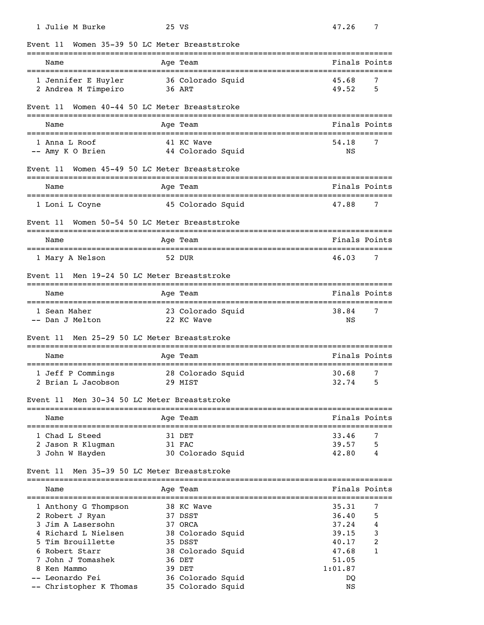| 1 Julie M Burke                           | 25 VS                                      | 47.26<br>7                                           |
|-------------------------------------------|--------------------------------------------|------------------------------------------------------|
| Event 11                                  | Women 35-39 50 LC Meter Breaststroke       |                                                      |
| Name<br>================================= | Age Team<br>============================== | Finals Points                                        |
| 1 Jennifer E Huyler                       | 36 Colorado Squid                          | 45.68<br>7                                           |
| 2 Andrea M Timpeiro                       | 36 ART                                     | 49.52<br>5                                           |
| Event 11                                  | Women 40-44 50 LC Meter Breaststroke       |                                                      |
| Name                                      | Age Team                                   | Finals Points                                        |
| 1 Anna L Roof                             | 41 KC Wave                                 | 54.18<br>7                                           |
| -- Amy K O Brien                          | 44 Colorado Squid                          | ΝS                                                   |
| Event 11                                  | Women 45-49 50 LC Meter Breaststroke       |                                                      |
| Name                                      | Age Team                                   | Finals Points                                        |
| 1 Loni L Coyne                            | 45 Colorado Squid                          | 47.88<br>7                                           |
| Event 11                                  | Women 50-54 50 LC Meter Breaststroke       | =====================================                |
| Name                                      | Age Team<br>===================            | Finals Points<br>----------------------------------- |
| 1 Mary A Nelson                           | 52 DUR                                     | 7<br>46.03                                           |
| Event 11                                  | Men 19-24 50 LC Meter Breaststroke         |                                                      |
| Name                                      | Age Team                                   | Finals Points                                        |
| 1 Sean Maher                              | 23 Colorado Squid                          | 38.84<br>7                                           |
| -- Dan J Melton                           | 22 KC Wave                                 | ΝS                                                   |
| Event 11                                  | Men 25-29 50 LC Meter Breaststroke         |                                                      |
| Name                                      | Age Team                                   | Finals Points                                        |
| 1 Jeff P Commings                         | 28 Colorado Squid                          | 30.68<br>$\overline{7}$                              |
| 2 Brian L Jacobson                        | 29 MIST                                    | 32.74<br>5                                           |
| Event 11                                  | Men 30-34 50 LC Meter Breaststroke         |                                                      |
| Name                                      | Age Team                                   | Finals Points                                        |
| 1 Chad L Steed                            | 31 DET                                     | 33.46<br>7                                           |
| 2 Jason R Klugman                         | 31 FAC                                     | 39.57<br>5                                           |
| 3 John W Hayden                           | 30 Colorado Squid                          | 42.80<br>4                                           |
| Event 11                                  | Men 35-39 50 LC Meter Breaststroke         |                                                      |
| Name                                      | Age Team                                   | Finals Points                                        |
| 1 Anthony G Thompson                      | 38 KC Wave                                 | 35.31<br>7                                           |
| 2 Robert J Ryan                           | 37 DSST                                    | 36.40<br>5                                           |
| 3 Jim A Lasersohn                         | 37 ORCA                                    | 37.24<br>4                                           |
| 4 Richard L Nielsen                       | 38 Colorado Squid                          | 39.15<br>3                                           |
| 5 Tim Brouillette<br>6 Robert Starr       | 35 DSST                                    | 2<br>40.17<br>1                                      |
| 7 John J Tomashek                         | 38 Colorado Squid<br>36 DET                | 47.68<br>51.05                                       |
| 8 Ken Mammo                               | 39 DET                                     | 1:01.87                                              |
| -- Leonardo Fei                           | 36 Colorado Squid                          | DQ                                                   |
| -- Christopher K Thomas                   | 35 Colorado Squid                          | ΝS                                                   |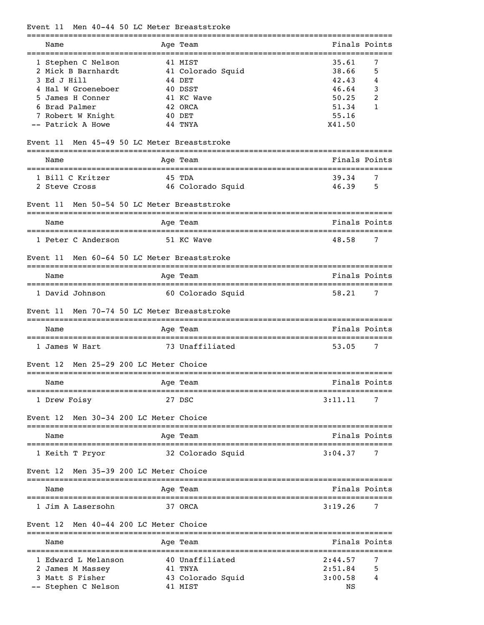# Event 11 Men 40-44 50 LC Meter Breaststroke

| Name                                                    | Age Team                                           | Finals Points                          |
|---------------------------------------------------------|----------------------------------------------------|----------------------------------------|
| 1 Stephen C Nelson<br>2 Mick B Barnhardt<br>3 Ed J Hill | 41 MIST<br>41 Colorado Squid<br>44 DET             | 35.61<br>7<br>38.66<br>5<br>42.43<br>4 |
| 4 Hal W Groeneboer                                      | 40 DSST                                            | 46.64<br>3                             |
| 5 James H Conner                                        | 41 KC Wave                                         | 50.25<br>2                             |
| 6 Brad Palmer                                           | 42 ORCA                                            | 51.34<br>1                             |
| 7 Robert W Knight<br>-- Patrick A Howe                  | 40 DET<br>44 TNYA                                  | 55.16<br>X41.50                        |
| Event 11                                                | Men 45-49 50 LC Meter Breaststroke                 |                                        |
| Name                                                    | Age Team                                           | Finals Points                          |
| 1 Bill C Kritzer                                        | 45 TDA                                             | 39.34<br>7                             |
| 2 Steve Cross                                           | 46 Colorado Squid                                  | 46.39<br>5                             |
| Event 11                                                | Men 50-54 50 LC Meter Breaststroke<br>============ |                                        |
| Name                                                    | Age Team                                           | Finals Points                          |
| 1 Peter C Anderson                                      | 51 KC Wave                                         | 48.58<br>7                             |
| Event 11                                                | Men 60-64 50 LC Meter Breaststroke                 |                                        |
| Name                                                    | Age Team                                           | Finals Points                          |
| 1 David Johnson                                         | 60 Colorado Squid                                  | 58.21<br>7                             |
| Event 11                                                | Men 70-74 50 LC Meter Breaststroke                 |                                        |
| Name                                                    | Age Team                                           | Finals Points                          |
| 1 James W Hart                                          | 73 Unaffiliated                                    | 53.05<br>7                             |
| Event 12                                                | Men 25-29 200 LC Meter Choice<br>===========       |                                        |
| Name                                                    | Age Team                                           | Finals Points                          |
| 1 Drew Foisy                                            | 27 DSC                                             | 3:11.11<br>7                           |
| Event 12                                                | Men 30-34 200 LC Meter Choice                      |                                        |
| Name                                                    | Aqe Team                                           | Finals Points                          |
| 1 Keith T Pryor                                         | 32 Colorado Squid                                  | 3:04.37<br>7                           |
| Event 12                                                | Men 35-39 200 LC Meter Choice                      |                                        |
| Name                                                    | Age Team                                           | Finals Points                          |
| 1 Jim A Lasersohn                                       | 37 ORCA                                            | 3:19.26<br>7                           |
| Event 12                                                | Men 40-44 200 LC Meter Choice                      |                                        |
| Name                                                    | ============<br>Age Team                           | Finals Points                          |
| 1 Edward L Melanson                                     | 40 Unaffiliated                                    | 2:44.57<br>7                           |
| 2 James M Massey                                        | 41 TNYA                                            | 2:51.84                                |
| 3 Matt S Fisher<br>-- Stephen C Nelson                  | 43 Colorado Squid<br>41 MIST                       | 3:00.58<br>NS                          |
|                                                         |                                                    |                                        |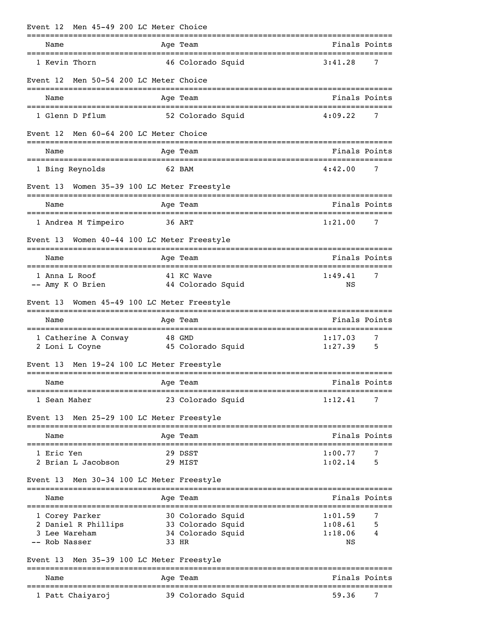| Event 12 | Men 45-49 200 LC Meter Choice                                                |              | ---------                                                             |                    |        |
|----------|------------------------------------------------------------------------------|--------------|-----------------------------------------------------------------------|--------------------|--------|
|          | Name<br>======================================                               |              | Age Team                                                              | Finals Points      |        |
|          | 1 Kevin Thorn                                                                |              | 46 Colorado Squid                                                     | 3:41.28            | 7      |
| Event 12 | Men 50-54 200 LC Meter Choice                                                |              |                                                                       |                    |        |
|          | Name                                                                         |              | Age Team                                                              | Finals Points      |        |
|          | 1 Glenn D Pflum                                                              |              | 52 Colorado Squid                                                     | 4:09.22            | 7      |
| Event 12 | Men 60-64 200 LC Meter Choice                                                |              |                                                                       |                    |        |
|          | Name                                                                         |              | Age Team                                                              | Finals Points      |        |
|          | 1 Bing Reynolds                                                              |              | 62 BAM                                                                | 4:42.00            | 7      |
| Event 13 | Women 35-39 100 LC Meter Freestyle                                           | ------------ |                                                                       |                    |        |
|          | Name                                                                         |              | Age Team                                                              | Finals Points      |        |
|          | 1 Andrea M Timpeiro                                                          |              | 36 ART                                                                | 1:21.00            | 7      |
| Event 13 | Women 40-44 100 LC Meter Freestyle                                           |              |                                                                       |                    |        |
|          | Name                                                                         |              | Age Team                                                              | Finals Points      |        |
|          | 1 Anna L Roof<br>-- Amy K O Brien                                            |              | 41 KC Wave<br>44 Colorado Squid                                       | 1:49.41<br>ΝS      | 7      |
| Event 13 | Women 45-49 100 LC Meter Freestyle                                           |              |                                                                       |                    |        |
|          | Name                                                                         |              | Age Team                                                              | Finals Points      |        |
|          | ==================================<br>1 Catherine A Conway<br>2 Loni L Coyne |              | ======================================<br>48 GMD<br>45 Colorado Squid | 1:17.03<br>1:27.39 | 7<br>5 |
| Event 13 | Men 19-24 100 LC Meter Freestyle                                             |              |                                                                       |                    |        |
|          | Name                                                                         |              | Age Team                                                              | Finals Points      |        |
|          | 1 Sean Maher                                                                 |              | 23 Colorado Squid                                                     | 1:12.41            | 7      |
| Event 13 | Men 25-29 100 LC Meter Freestyle                                             |              |                                                                       |                    |        |
|          | Name                                                                         |              | Age Team                                                              | Finals Points      |        |
|          | 1 Eric Yen                                                                   |              | 29 DSST                                                               | 1:00.77            | 7      |
|          | 2 Brian L Jacobson                                                           |              | 29 MIST                                                               | 1:02.14            | 5      |
| Event 13 | Men 30-34 100 LC Meter Freestyle                                             |              |                                                                       |                    |        |
|          | Name                                                                         |              | Age Team                                                              | Finals Points      |        |
|          | 1 Corey Parker                                                               |              | 30 Colorado Squid                                                     | 1:01.59            | 7      |
|          | 2 Daniel R Phillips                                                          |              | 33 Colorado Squid                                                     | 1:08.61            | 5      |
|          | 3 Lee Wareham<br>-- Rob Nasser                                               | 33 HR        | 34 Colorado Squid                                                     | 1:18.06<br>NS      | 4      |
| Event 13 | Men 35-39 100 LC Meter Freestyle                                             |              |                                                                       |                    |        |
|          | Name                                                                         |              | Age Team                                                              | Finals Points      |        |
|          | 1 Patt Chaiyaroj                                                             |              | 39 Colorado Squid                                                     | 59.36              | 7      |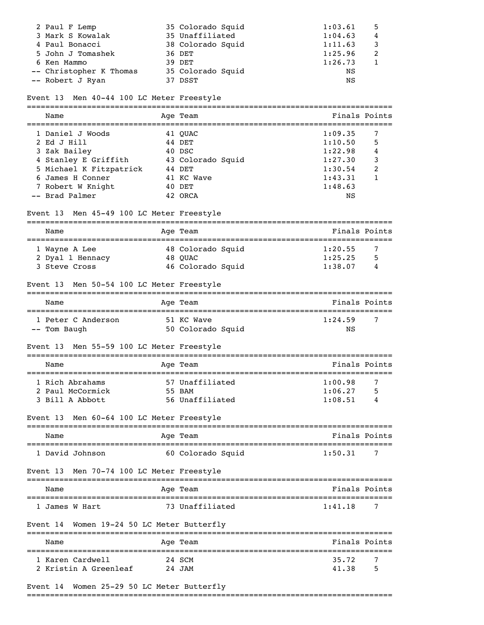| 2 Paul F Lemp           | 35 Colorado Squid | 1:03.61 | -5 |
|-------------------------|-------------------|---------|----|
| 3 Mark S Kowalak        | 35 Unaffiliated   | 1:04.63 | 4  |
| 4 Paul Bonacci          | 38 Colorado Squid | 1:11.63 |    |
| 5 John J Tomashek       | 36 DET            | 1:25.96 |    |
| 6 Ken Mammo             | 39 DET            | 1:26.73 |    |
| -- Christopher K Thomas | 35 Colorado Squid | ΝS      |    |
| -- Robert J Ryan        | 37 DSST           | ΝS      |    |

#### Event 13 Men 40-44 100 LC Meter Freestyle

| Name                    | Age Team          | Finals Points |   |
|-------------------------|-------------------|---------------|---|
| 1 Daniel J Woods        | 41 OUAC           | 1:09.35       |   |
| 2 Ed J Hill             | 44 DET            | 1:10.50       | 5 |
| 3 Zak Bailey            | 40 DSC            | 1:22.98       | 4 |
| 4 Stanley E Griffith    | 43 Colorado Squid | 1:27.30       | 3 |
| 5 Michael K Fitzpatrick | 44 DET            | 1:30.54       | 2 |
| 6 James H Conner        | 41 KC Wave        | 1:43.31       |   |
| 7 Robert W Knight       | 40 DET            | 1:48.63       |   |
| -- Brad Palmer          | 42 ORCA           | NS            |   |

### Event 13 Men 45-49 100 LC Meter Freestyle

| Name             | Age Team          | Finals Points |   |
|------------------|-------------------|---------------|---|
| 1 Wayne A Lee    | 48 Colorado Squid | 1:20.55       |   |
| 2 Dyal 1 Hennacy | 48 OUAC           | 1:25.25       | 5 |
| 3 Steve Cross    | 46 Colorado Squid | 1:38.07       | 4 |

### Event 13 Men 50-54 100 LC Meter Freestyle

| Name               | Age Team          | Finals Points |
|--------------------|-------------------|---------------|
| 1 Peter C Anderson | 51 KC Wave        | 1:24.59       |
| -- Tom Baugh       | 50 Colorado Squid | NS            |

### Event 13 Men 55-59 100 LC Meter Freestyle

| Name             | Age Team        | Finals Points |
|------------------|-----------------|---------------|
|                  |                 |               |
| 1 Rich Abrahams  | 57 Unaffiliated | 1:00.98       |
| 2 Paul McCormick | 55 BAM          | 1:06.27<br>5  |
| 3 Bill A Abbott  | 56 Unaffiliated | 1:08.51<br>4  |

### Event 13 Men 60-64 100 LC Meter Freestyle

| Name            | Age Team          | Finals Points |
|-----------------|-------------------|---------------|
| 1 David Johnson | 60 Colorado Squid | 1:50.31       |

# Event 13 Men 70-74 100 LC Meter Freestyle

| Name           | Age Team        | Finals Points |
|----------------|-----------------|---------------|
| 1 James W Hart | 73 Unaffiliated | 7<br>1:41.18  |

### Event 14 Women 19-24 50 LC Meter Butterfly

| Name                                      | Age Team         | Finals Points       |
|-------------------------------------------|------------------|---------------------|
| 1 Karen Cardwell<br>2 Kristin A Greenleaf | 24 SCM<br>24 JAM | 35.72<br>5<br>41.38 |

### Event 14 Women 25-29 50 LC Meter Butterfly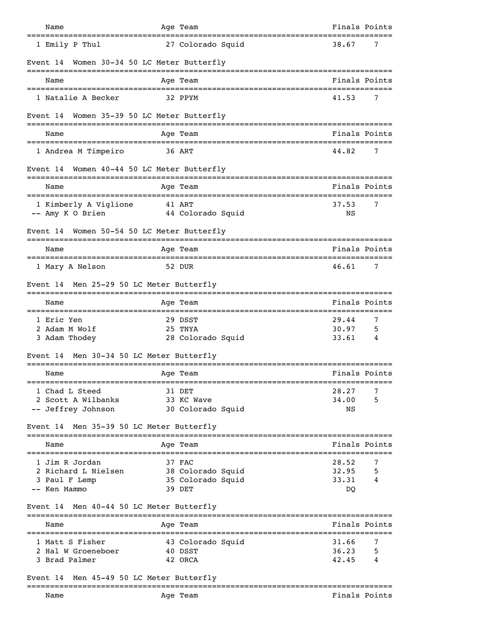| Name                        |                                                            | Age Team                                                   |                   |                               | Finals Points |
|-----------------------------|------------------------------------------------------------|------------------------------------------------------------|-------------------|-------------------------------|---------------|
|                             | 1 Emily P Thul                                             | 27 Colorado Squid                                          |                   | 38.67                         | 7             |
| Event 14                    |                                                            | Women 30-34 50 LC Meter Butterfly                          |                   |                               |               |
| Name                        |                                                            | Age Team                                                   |                   |                               | Finals Points |
|                             | 1 Natalie A Becker                                         | 32 PPYM                                                    |                   | 41.53                         | 7             |
| Event 14                    |                                                            | Women 35-39 50 LC Meter Butterfly                          |                   |                               |               |
| Name                        |                                                            | Age Team                                                   |                   |                               | Finals Points |
|                             | 1 Andrea M Timpeiro                                        | 36 ART                                                     |                   | 44.82                         | 7             |
|                             |                                                            | Event 14 Women 40-44 50 LC Meter Butterfly<br>--------     |                   |                               |               |
| Name                        |                                                            | Age Team                                                   |                   |                               | Finals Points |
|                             | 1 Kimberly A Viglione<br>-- Amy K O Brien                  | 41 ART<br>44 Colorado Squid                                |                   | 37.53<br>NS                   | 7             |
| Event 14                    |                                                            | Women 50-54 50 LC Meter Butterfly                          |                   |                               |               |
| Name                        |                                                            | Age Team                                                   |                   |                               | Finals Points |
|                             | 1 Mary A Nelson                                            | 52 DUR                                                     |                   | 46.61                         | 7             |
|                             |                                                            | Event 14 Men 25-29 50 LC Meter Butterfly                   |                   |                               |               |
| Name                        | ==================================                         | Age Team                                                   |                   |                               | Finals Points |
| 1 Eric Yen<br>2 Adam M Wolf | 3 Adam Thodey                                              | 29 DSST<br>25 TNYA<br>28 Colorado Squid                    |                   | 29.44<br>30.97<br>33.61       | 7<br>5<br>4   |
| Event 14                    |                                                            | Men 30-34 50 LC Meter Butterfly<br>---------               |                   |                               |               |
| Name                        |                                                            | Age Team                                                   |                   |                               | Finals Points |
|                             | 1 Chad L Steed<br>2 Scott A Wilbanks<br>-- Jeffrey Johnson | 31 DET<br>33 KC Wave<br>30 Colorado Squid                  |                   | 28.27<br>34.00<br>ΝS          | 7<br>5        |
|                             |                                                            | Event 14 Men 35-39 50 LC Meter Butterfly                   |                   |                               |               |
| Name                        | ======================================                     | Age Team                                                   |                   |                               | Finals Points |
| -- Ken Mammo                | 1 Jim R Jordan<br>2 Richard L Nielsen<br>3 Paul F Lemp     | 37 FAC<br>38 Colorado Squid<br>35 Colorado Squid<br>39 DET |                   | 28.52<br>32.95<br>33.31<br>DQ | 7<br>5<br>4   |
|                             |                                                            | Event 14 Men 40-44 50 LC Meter Butterfly                   |                   |                               |               |
| Name                        |                                                            | Age Team                                                   | ----------------- |                               | Finals Points |
|                             | 1 Matt S Fisher<br>2 Hal W Groeneboer<br>3 Brad Palmer     | 43 Colorado Squid<br>40 DSST<br>42 ORCA                    |                   | 31.66<br>36.23<br>42.45       | 7<br>5<br>4   |
| Event 14                    |                                                            | Men 45-49 50 LC Meter Butterfly                            |                   |                               |               |
| Name                        |                                                            | Age Team                                                   |                   |                               | Finals Points |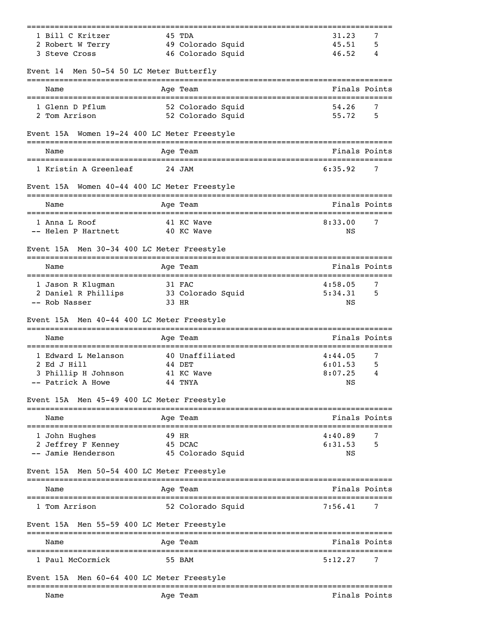| 1 Bill C Kritzer                             | 45 TDA                           | 31.23<br>7                                           |
|----------------------------------------------|----------------------------------|------------------------------------------------------|
| 2 Robert W Terry                             | 49 Colorado Squid                | 45.51<br>5                                           |
| 3 Steve Cross                                | 46 Colorado Squid                | 46.52<br>4                                           |
| Event 14 Men 50-54 50 LC Meter Butterfly     |                                  |                                                      |
| Name                                         | Age Team                         | Finals Points                                        |
| 1 Glenn D Pflum                              | 52 Colorado Squid                | 54.26<br>7                                           |
| 2 Tom Arrison                                | 52 Colorado Squid                | 55.72<br>5                                           |
| Event 15A Women 19-24 400 LC Meter Freestyle |                                  |                                                      |
| Name                                         | Age Team                         | Finals Points                                        |
| 1 Kristin A Greenleaf                        | 24 JAM                           | 6:35.92<br>7                                         |
| Event 15A Women 40-44 400 LC Meter Freestyle |                                  |                                                      |
| Name                                         | Age Team                         | Finals Points                                        |
| 1 Anna L Roof                                | ==========<br>41 KC Wave         | ======================<br>7<br>8:33.00               |
| -- Helen P Hartnett                          | 40 KC Wave                       | NS                                                   |
| Event 15A Men 30-34 400 LC Meter Freestyle   |                                  |                                                      |
| Name                                         | Age Team                         | Finals Points                                        |
| 1 Jason R Klugman                            | 31 FAC                           | 4:58.05<br>7                                         |
| 2 Daniel R Phillips                          | 33 Colorado Squid                | 5:34.31<br>5                                         |
| -- Rob Nasser                                | 33 HR                            | ΝS                                                   |
| Event 15A Men 40-44 400 LC Meter Freestyle   |                                  |                                                      |
| Name                                         | Age Team                         | Finals Points                                        |
| 1 Edward L Melanson                          | 40 Unaffiliated                  | 4:44.05<br>7                                         |
| 2 Ed J Hill                                  | 44 DET                           | 6:01.53<br>5                                         |
| 3 Phillip H Johnson                          | 41 KC Wave                       | 8:07.25<br>4                                         |
| -- Patrick A Howe                            | 44 TNYA                          | NS                                                   |
| Event 15A Men 45-49 400 LC Meter Freestyle   |                                  |                                                      |
| Name<br>---------------------                | Age Team<br>:=============       | Finals Points<br>.================================== |
| 1 John Hughes                                | 49 HR                            | 4:40.89<br>7                                         |
| 2 Jeffrey F Kenney                           | 45 DCAC                          | 6:31.53<br>5                                         |
| -- Jamie Henderson                           | 45 Colorado Squid                | NS                                                   |
| Event 15A Men 50-54 400 LC Meter Freestyle   |                                  |                                                      |
| Name                                         | Age Team                         | Finals Points                                        |
| 1 Tom Arrison                                | 52 Colorado Squid                | 7:56.41<br>7                                         |
| Event 15A Men 55-59 400 LC Meter Freestyle   | --------------                   |                                                      |
| Name                                         | Age Team                         | Finals Points<br>;================                   |
| 1 Paul McCormick                             | 55 BAM                           | 7<br>5:12.27                                         |
| Event 15A                                    | Men 60-64 400 LC Meter Freestyle |                                                      |
| Name                                         | Age Team                         | Finals Points                                        |